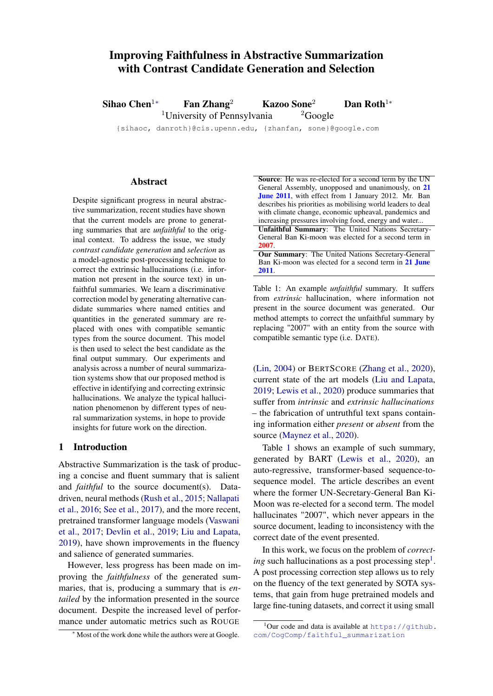# Improving Faithfulness in Abstractive Summarization with Contrast Candidate Generation and Selection

Sihao Chen<sup>1</sup>\* Fan Zhang<sup>2</sup> Kazoo Sone<sup>2</sup> Dan Roth<sup>1</sup>\* <sup>1</sup>University of Pennsylvania  $^{2}$ Google

{sihaoc, danroth}@cis.upenn.edu, {zhanfan, sone}@google.com

#### Abstract

Despite significant progress in neural abstractive summarization, recent studies have shown that the current models are prone to generating summaries that are *unfaithful* to the original context. To address the issue, we study *contrast candidate generation* and *selection* as a model-agnostic post-processing technique to correct the extrinsic hallucinations (i.e. information not present in the source text) in unfaithful summaries. We learn a discriminative correction model by generating alternative candidate summaries where named entities and quantities in the generated summary are replaced with ones with compatible semantic types from the source document. This model is then used to select the best candidate as the final output summary. Our experiments and analysis across a number of neural summarization systems show that our proposed method is effective in identifying and correcting extrinsic hallucinations. We analyze the typical hallucination phenomenon by different types of neural summarization systems, in hope to provide insights for future work on the direction.

## 1 Introduction

Abstractive Summarization is the task of producing a concise and fluent summary that is salient and *faithful* to the source document(s). Datadriven, neural methods [\(Rush et al.,](#page-6-0) [2015;](#page-6-0) [Nallapati](#page-5-0) [et al.,](#page-5-0) [2016;](#page-5-0) [See et al.,](#page-6-1) [2017\)](#page-6-1), and the more recent, pretrained transformer language models [\(Vaswani](#page-6-2) [et al.,](#page-6-2) [2017;](#page-6-2) [Devlin et al.,](#page-4-0) [2019;](#page-4-0) [Liu and Lapata,](#page-5-1) [2019\)](#page-5-1), have shown improvements in the fluency and salience of generated summaries.

However, less progress has been made on improving the *faithfulness* of the generated summaries, that is, producing a summary that is *entailed* by the information presented in the source document. Despite the increased level of performance under automatic metrics such as ROUGE Table 1: An example *unfaithful* summary. It suffers from *extrinsic* hallucination, where information not present in the source document was generated. Our method attempts to correct the unfaithful summary by replacing "2007" with an entity from the source with compatible semantic type (i.e. DATE).

[\(Lin,](#page-5-2) [2004\)](#page-5-2) or BERTSCORE [\(Zhang et al.,](#page-6-3) [2020\)](#page-6-3), current state of the art models [\(Liu and Lapata,](#page-5-1) [2019;](#page-5-1) [Lewis et al.,](#page-5-3) [2020\)](#page-5-3) produce summaries that suffer from *intrinsic* and *extrinsic hallucinations* – the fabrication of untruthful text spans containing information either *present* or *absent* from the source [\(Maynez et al.,](#page-5-4) [2020\)](#page-5-4).

Table [1](#page-0-0) shows an example of such summary, generated by BART [\(Lewis et al.,](#page-5-3) [2020\)](#page-5-3), an auto-regressive, transformer-based sequence-tosequence model. The article describes an event where the former UN-Secretary-General Ban Ki-Moon was re-elected for a second term. The model hallucinates "2007", which never appears in the source document, leading to inconsistency with the correct date of the event presented.

In this work, we focus on the problem of *correct-*ing such hallucinations as a post processing step<sup>[1](#page-0-1)</sup>. A post processing correction step allows us to rely on the fluency of the text generated by SOTA systems, that gain from huge pretrained models and large fine-tuning datasets, and correct it using small

<sup>∗</sup> Most of the work done while the authors were at Google.

<span id="page-0-0"></span>Source: He was re-elected for a second term by the UN General Assembly, unopposed and unanimously, on 21 June 2011, with effect from 1 January 2012. Mr. Ban describes his priorities as mobilising world leaders to deal with climate change, economic upheaval, pandemics and increasing pressures involving food, energy and water...

Unfaithful Summary: The United Nations Secretary-General Ban Ki-moon was elected for a second term in 2007.

Our Summary: The United Nations Secretary-General Ban Ki-moon was elected for a second term in 21 June 2011.

<span id="page-0-1"></span> $1$ Our code and data is available at [https://github.](https://github.com/CogComp/faithful_summarization) [com/CogComp/faithful\\_summarization](https://github.com/CogComp/faithful_summarization)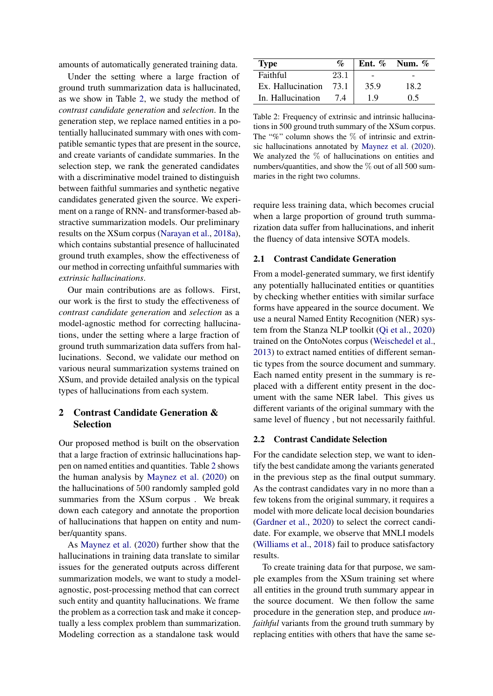amounts of automatically generated training data.

Under the setting where a large fraction of ground truth summarization data is hallucinated, as we show in Table [2,](#page-1-0) we study the method of *contrast candidate generation* and *selection*. In the generation step, we replace named entities in a potentially hallucinated summary with ones with compatible semantic types that are present in the source, and create variants of candidate summaries. In the selection step, we rank the generated candidates with a discriminative model trained to distinguish between faithful summaries and synthetic negative candidates generated given the source. We experiment on a range of RNN- and transformer-based abstractive summarization models. Our preliminary results on the XSum corpus [\(Narayan et al.,](#page-5-5) [2018a\)](#page-5-5), which contains substantial presence of hallucinated ground truth examples, show the effectiveness of our method in correcting unfaithful summaries with *extrinsic hallucinations*.

Our main contributions are as follows. First, our work is the first to study the effectiveness of *contrast candidate generation* and *selection* as a model-agnostic method for correcting hallucinations, under the setting where a large fraction of ground truth summarization data suffers from hallucinations. Second, we validate our method on various neural summarization systems trained on XSum, and provide detailed analysis on the typical types of hallucinations from each system.

## 2 Contrast Candidate Generation & Selection

Our proposed method is built on the observation that a large fraction of extrinsic hallucinations happen on named entities and quantities. Table [2](#page-1-0) shows the human analysis by [Maynez et al.](#page-5-4) [\(2020\)](#page-5-4) on the hallucinations of 500 randomly sampled gold summaries from the XSum corpus . We break down each category and annotate the proportion of hallucinations that happen on entity and number/quantity spans.

As [Maynez et al.](#page-5-4) [\(2020\)](#page-5-4) further show that the hallucinations in training data translate to similar issues for the generated outputs across different summarization models, we want to study a modelagnostic, post-processing method that can correct such entity and quantity hallucinations. We frame the problem as a correction task and make it conceptually a less complex problem than summarization. Modeling correction as a standalone task would

<span id="page-1-0"></span>

| Type              | $\mathcal{O}_0$ |      | Ent. $\%$ Num. $\%$ |
|-------------------|-----------------|------|---------------------|
| Faithful          | 23.1            |      |                     |
| Ex. Hallucination | 73.1            | 35.9 | 18.2                |
| In. Hallucination | 74              | 19   | 0.5                 |

Table 2: Frequency of extrinsic and intrinsic hallucinations in 500 ground truth summary of the XSum corpus. The "%" column shows the  $\%$  of intrinsic and extrinsic hallucinations annotated by [Maynez et al.](#page-5-4) [\(2020\)](#page-5-4). We analyzed the % of hallucinations on entities and numbers/quantities, and show the  $\%$  out of all 500 summaries in the right two columns.

require less training data, which becomes crucial when a large proportion of ground truth summarization data suffer from hallucinations, and inherit the fluency of data intensive SOTA models.

### 2.1 Contrast Candidate Generation

From a model-generated summary, we first identify any potentially hallucinated entities or quantities by checking whether entities with similar surface forms have appeared in the source document. We use a neural Named Entity Recognition (NER) system from the Stanza NLP toolkit [\(Qi et al.,](#page-5-6) [2020\)](#page-5-6) trained on the OntoNotes corpus [\(Weischedel et al.,](#page-6-4) [2013\)](#page-6-4) to extract named entities of different semantic types from the source document and summary. Each named entity present in the summary is replaced with a different entity present in the document with the same NER label. This gives us different variants of the original summary with the same level of fluency , but not necessarily faithful.

#### 2.2 Contrast Candidate Selection

For the candidate selection step, we want to identify the best candidate among the variants generated in the previous step as the final output summary. As the contrast candidates vary in no more than a few tokens from the original summary, it requires a model with more delicate local decision boundaries [\(Gardner et al.,](#page-5-7) [2020\)](#page-5-7) to select the correct candidate. For example, we observe that MNLI models [\(Williams et al.,](#page-6-5) [2018\)](#page-6-5) fail to produce satisfactory results.

To create training data for that purpose, we sample examples from the XSum training set where all entities in the ground truth summary appear in the source document. We then follow the same procedure in the generation step, and produce *unfaithful* variants from the ground truth summary by replacing entities with others that have the same se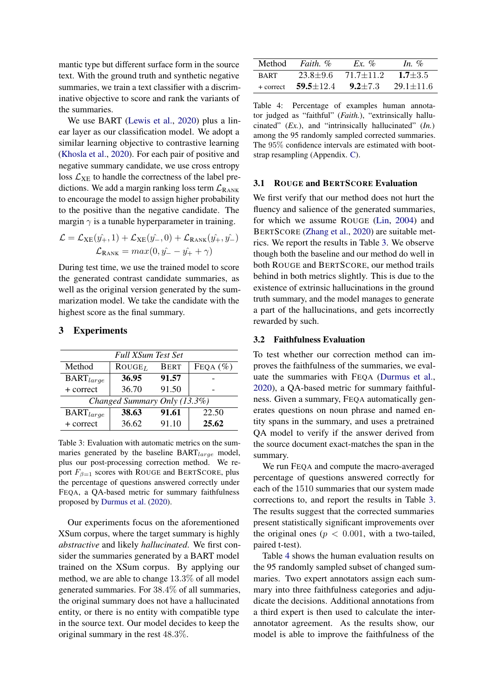mantic type but different surface form in the source text. With the ground truth and synthetic negative summaries, we train a text classifier with a discriminative objective to score and rank the variants of the summaries.

We use BART [\(Lewis et al.,](#page-5-3) [2020\)](#page-5-3) plus a linear layer as our classification model. We adopt a similar learning objective to contrastive learning [\(Khosla et al.,](#page-5-8) [2020\)](#page-5-8). For each pair of positive and negative summary candidate, we use cross entropy loss  $\mathcal{L}_{\text{XE}}$  to handle the correctness of the label predictions. We add a margin ranking loss term  $\mathcal{L}_{\text{RANK}}$ to encourage the model to assign higher probability to the positive than the negative candidate. The margin  $\gamma$  is a tunable hyperparameter in training.

$$
\mathcal{L} = \mathcal{L}_{\text{XE}}(\hat{y_+}, 1) + \mathcal{L}_{\text{XE}}(\hat{y_-}, 0) + \mathcal{L}_{\text{RANK}}(\hat{y_+}, \hat{y_-})
$$

$$
\mathcal{L}_{\text{RANK}} = max(0, \hat{y_-} - \hat{y_+} + \gamma)
$$

During test time, we use the trained model to score the generated contrast candidate summaries, as well as the original version generated by the summarization model. We take the candidate with the highest score as the final summary.

<span id="page-2-0"></span>

| <b>Full XSum Test Set</b>    |           |             |              |  |
|------------------------------|-----------|-------------|--------------|--|
| Method                       | $ROUGE_L$ | <b>BERT</b> | FEQA $(\% )$ |  |
| $\text{BART}_{large}$        | 36.95     | 91.57       |              |  |
| + correct                    | 36.70     | 91.50       |              |  |
| Changed Summary Only (13.3%) |           |             |              |  |
| $\text{BART}_{large}$        | 38.63     | 91.61       | 22.50        |  |
| + correct                    | 36.62     | 91.10       | 25.62        |  |

#### 3 Experiments

Table 3: Evaluation with automatic metrics on the summaries generated by the baseline  $BART_{large}$  model, plus our post-processing correction method. We report  $F_{\beta=1}$  scores with ROUGE and BERTSCORE, plus the percentage of questions answered correctly under FEQA, a QA-based metric for summary faithfulness proposed by [Durmus et al.](#page-4-1) [\(2020\)](#page-4-1).

Our experiments focus on the aforementioned XSum corpus, where the target summary is highly *abstractive* and likely *hallucinated*. We first consider the summaries generated by a BART model trained on the XSum corpus. By applying our method, we are able to change 13.3% of all model generated summaries. For 38.4% of all summaries, the original summary does not have a hallucinated entity, or there is no entity with compatible type in the source text. Our model decides to keep the original summary in the rest 48.3%.

<span id="page-2-1"></span>

|             | Method <i>Faith</i> , % | Ex. %       | In $\%$         |
|-------------|-------------------------|-------------|-----------------|
| <b>BART</b> | $23.8 + 9.6$            | 71.7+11.2   | $1.7 \pm 3.5$   |
| $+$ correct | $59.5 + 12.4$           | $9.2 + 7.3$ | $29.1 \pm 11.6$ |

Table 4: Percentage of examples human annotator judged as "faithful" (*Faith.*), "extrinsically hallucinated" (*Ex.*), and "intrinsically hallucinated" (*In.*) among the 95 randomly sampled corrected summaries. The 95% confidence intervals are estimated with bootstrap resampling (Appendix. [C\)](#page-6-6).

## 3.1 ROUGE and BERTSCORE Evaluation

We first verify that our method does not hurt the fluency and salience of the generated summaries, for which we assume ROUGE [\(Lin,](#page-5-2) [2004\)](#page-5-2) and BERTSCORE [\(Zhang et al.,](#page-6-3) [2020\)](#page-6-3) are suitable metrics. We report the results in Table [3.](#page-2-0) We observe though both the baseline and our method do well in both ROUGE and BERTSCORE, our method trails behind in both metrics slightly. This is due to the existence of extrinsic hallucinations in the ground truth summary, and the model manages to generate a part of the hallucinations, and gets incorrectly rewarded by such.

#### 3.2 Faithfulness Evaluation

To test whether our correction method can improves the faithfulness of the summaries, we evaluate the summaries with FEQA [\(Durmus et al.,](#page-4-1) [2020\)](#page-4-1), a QA-based metric for summary faithfulness. Given a summary, FEQA automatically generates questions on noun phrase and named entity spans in the summary, and uses a pretrained QA model to verify if the answer derived from the source document exact-matches the span in the summary.

We run FEQA and compute the macro-averaged percentage of questions answered correctly for each of the 1510 summaries that our system made corrections to, and report the results in Table [3.](#page-2-0) The results suggest that the corrected summaries present statistically significant improvements over the original ones ( $p < 0.001$ , with a two-tailed, paired t-test).

Table [4](#page-2-1) shows the human evaluation results on the 95 randomly sampled subset of changed summaries. Two expert annotators assign each summary into three faithfulness categories and adjudicate the decisions. Additional annotations from a third expert is then used to calculate the interannotator agreement. As the results show, our model is able to improve the faithfulness of the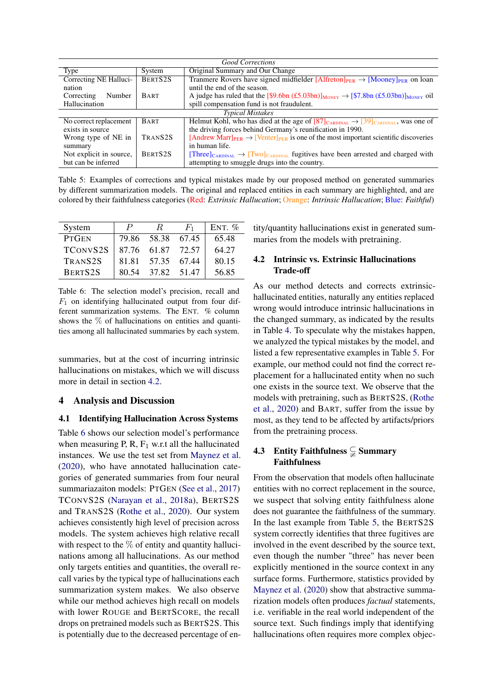<span id="page-3-2"></span>

| <b>Good Corrections</b>       |                     |                                                                                                                        |  |  |
|-------------------------------|---------------------|------------------------------------------------------------------------------------------------------------------------|--|--|
| Type                          | System              | Original Summary and Our Change                                                                                        |  |  |
| <b>Correcting NE Halluci-</b> | BERTS <sub>2S</sub> | Tranmere Rovers have signed midfielder $[Alfreton]_{PER} \rightarrow [Mooney]_{PER}$ on loan                           |  |  |
| nation                        |                     | until the end of the season.                                                                                           |  |  |
| Number<br>Correcting          | <b>BART</b>         | A judge has ruled that the [\$9.6bn (£5.03bn)] <sub>MONEY</sub> $\rightarrow$ [\$7.8bn (£5.03bn)] <sub>MONEY</sub> oil |  |  |
| Hallucination                 |                     | spill compensation fund is not fraudulent.                                                                             |  |  |
|                               |                     | <b>Typical Mistakes</b>                                                                                                |  |  |
| No correct replacement        | <b>BART</b>         | Helmut Kohl, who has died at the age of $[87]_{CARDINAL} \rightarrow [39]_{CARDINAL}$ , was one of                     |  |  |
| exists in source              |                     | the driving forces behind Germany's reunification in 1990.                                                             |  |  |
| Wrong type of NE in           | TRANS <sub>2S</sub> | [Andrew Marr] <sub>PER</sub> $\rightarrow$ [Venter] <sub>PER</sub> is one of the most important scientific discoveries |  |  |
| summary                       |                     | in human life.                                                                                                         |  |  |
| Not explicit in source,       | BERTS <sub>2S</sub> | $[Three]_{CARDINAL} \rightarrow [Two]_{CARDINAL}$ fugitives have been arrested and charged with                        |  |  |
| but can be inferred           |                     | attempting to smuggle drugs into the country.                                                                          |  |  |

Table 5: Examples of corrections and typical mistakes made by our proposed method on generated summaries by different summarization models. The original and replaced entities in each summary are highlighted, and are colored by their faithfulness categories (Red: *Extrinsic Hallucation*; Orange: *Intrinsic Hallucation*; Blue: *Faithful*)

<span id="page-3-1"></span>

| System              | $\mathcal P$ | R.    | $H_1$ | ENT. $%$ |
|---------------------|--------------|-------|-------|----------|
| <b>PTGEN</b>        | 79.86        | 58.38 | 67.45 | 65.48    |
| <b>TCONVS2S</b>     | 87.76        | 61.87 | 72.57 | 64.27    |
| TRANS <sub>2S</sub> | 81.81        | 57.35 | 67.44 | 80.15    |
| <b>BERTS2S</b>      | 80.54        | 37.82 | 51.47 | 56.85    |

Table 6: The selection model's precision, recall and  $F_1$  on identifying hallucinated output from four different summarization systems. The ENT. % column shows the % of hallucinations on entities and quantities among all hallucinated summaries by each system.

summaries, but at the cost of incurring intrinsic hallucinations on mistakes, which we will discuss more in detail in section [4.2.](#page-3-0)

### 4 Analysis and Discussion

## 4.1 Identifying Hallucination Across Systems

Table [6](#page-3-1) shows our selection model's performance when measuring P, R,  $F_1$  w.r.t all the hallucinated instances. We use the test set from [Maynez et al.](#page-5-4) [\(2020\)](#page-5-4), who have annotated hallucination categories of generated summaries from four neural summariazaiton models: PTGEN [\(See et al.,](#page-6-1) [2017\)](#page-6-1) TCONVS2S [\(Narayan et al.,](#page-5-5) [2018a\)](#page-5-5), BERTS2S and TRANS2S [\(Rothe et al.,](#page-5-9) [2020\)](#page-5-9). Our system achieves consistently high level of precision across models. The system achieves high relative recall with respect to the  $\%$  of entity and quantity hallucinations among all hallucinations. As our method only targets entities and quantities, the overall recall varies by the typical type of hallucinations each summarization system makes. We also observe while our method achieves high recall on models with lower ROUGE and BERTSCORE, the recall drops on pretrained models such as BERTS2S. This is potentially due to the decreased percentage of entity/quantity hallucinations exist in generated summaries from the models with pretraining.

## <span id="page-3-0"></span>4.2 Intrinsic vs. Extrinsic Hallucinations Trade-off

As our method detects and corrects extrinsichallucinated entities, naturally any entities replaced wrong would introduce intrinsic hallucinations in the changed summary, as indicated by the results in Table [4.](#page-2-1) To speculate why the mistakes happen, we analyzed the typical mistakes by the model, and listed a few representative examples in Table [5.](#page-3-2) For example, our method could not find the correct replacement for a hallucinated entity when no such one exists in the source text. We observe that the models with pretraining, such as BERTS2S, [\(Rothe](#page-5-9) [et al.,](#page-5-9) [2020\)](#page-5-9) and BART, suffer from the issue by most, as they tend to be affected by artifacts/priors from the pretraining process.

## 4.3 Entity Faithfulness  $\subsetneq$  Summary Faithfulness

From the observation that models often hallucinate entities with no correct replacement in the source, we suspect that solving entity faithfulness alone does not guarantee the faithfulness of the summary. In the last example from Table [5,](#page-3-2) the BERTS2S system correctly identifies that three fugitives are involved in the event described by the source text, even though the number "three" has never been explicitly mentioned in the source context in any surface forms. Furthermore, statistics provided by [Maynez et al.](#page-5-4) [\(2020\)](#page-5-4) show that abstractive summarization models often produces *factual* statements, i.e. verifiable in the real world independent of the source text. Such findings imply that identifying hallucinations often requires more complex objec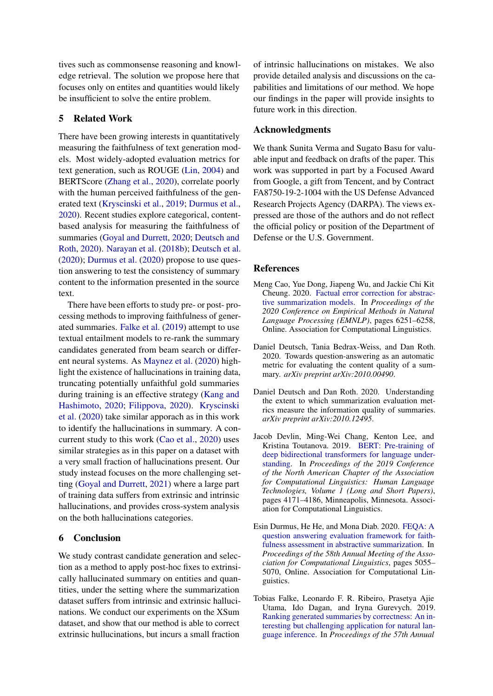tives such as commonsense reasoning and knowledge retrieval. The solution we propose here that focuses only on entites and quantities would likely be insufficient to solve the entire problem.

## 5 Related Work

There have been growing interests in quantitatively measuring the faithfulness of text generation models. Most widely-adopted evaluation metrics for text generation, such as ROUGE [\(Lin,](#page-5-2) [2004\)](#page-5-2) and BERTScore [\(Zhang et al.,](#page-6-3) [2020\)](#page-6-3), correlate poorly with the human perceived faithfulness of the generated text [\(Kryscinski et al.,](#page-5-10) [2019;](#page-5-10) [Durmus et al.,](#page-4-1) [2020\)](#page-4-1). Recent studies explore categorical, contentbased analysis for measuring the faithfulness of summaries [\(Goyal and Durrett,](#page-5-11) [2020;](#page-5-11) [Deutsch and](#page-4-2) [Roth,](#page-4-2) [2020\)](#page-4-2). [Narayan et al.](#page-5-12) [\(2018b\)](#page-5-12); [Deutsch et al.](#page-4-3) [\(2020\)](#page-4-3); [Durmus et al.](#page-4-1) [\(2020\)](#page-4-1) propose to use question answering to test the consistency of summary content to the information presented in the source text.

There have been efforts to study pre- or post- processing methods to improving faithfulness of generated summaries. [Falke et al.](#page-4-4) [\(2019\)](#page-4-4) attempt to use textual entailment models to re-rank the summary candidates generated from beam search or different neural systems. As [Maynez et al.](#page-5-4) [\(2020\)](#page-5-4) highlight the existence of hallucinations in training data, truncating potentially unfaithful gold summaries during training is an effective strategy [\(Kang and](#page-5-13) [Hashimoto,](#page-5-13) [2020;](#page-5-13) [Filippova,](#page-5-14) [2020\)](#page-5-14). [Kryscinski](#page-5-15) [et al.](#page-5-15) [\(2020\)](#page-5-15) take similar apporach as in this work to identify the hallucinations in summary. A concurrent study to this work [\(Cao et al.,](#page-4-5) [2020\)](#page-4-5) uses similar strategies as in this paper on a dataset with a very small fraction of hallucinations present. Our study instead focuses on the more challenging setting [\(Goyal and Durrett,](#page-5-16) [2021\)](#page-5-16) where a large part of training data suffers from extrinsic and intrinsic hallucinations, and provides cross-system analysis on the both hallucinations categories.

## 6 Conclusion

We study contrast candidate generation and selection as a method to apply post-hoc fixes to extrinsically hallucinated summary on entities and quantities, under the setting where the summarization dataset suffers from intrinsic and extrinsic hallucinations. We conduct our experiments on the XSum dataset, and show that our method is able to correct extrinsic hullucinations, but incurs a small fraction

of intrinsic hallucinations on mistakes. We also provide detailed analysis and discussions on the capabilities and limitations of our method. We hope our findings in the paper will provide insights to future work in this direction.

### Acknowledgments

We thank Sunita Verma and Sugato Basu for valuable input and feedback on drafts of the paper. This work was supported in part by a Focused Award from Google, a gift from Tencent, and by Contract FA8750-19-2-1004 with the US Defense Advanced Research Projects Agency (DARPA). The views expressed are those of the authors and do not reflect the official policy or position of the Department of Defense or the U.S. Government.

#### References

- <span id="page-4-5"></span>Meng Cao, Yue Dong, Jiapeng Wu, and Jackie Chi Kit Cheung. 2020. [Factual error correction for abstrac](https://doi.org/10.18653/v1/2020.emnlp-main.506)[tive summarization models.](https://doi.org/10.18653/v1/2020.emnlp-main.506) In *Proceedings of the 2020 Conference on Empirical Methods in Natural Language Processing (EMNLP)*, pages 6251–6258, Online. Association for Computational Linguistics.
- <span id="page-4-3"></span>Daniel Deutsch, Tania Bedrax-Weiss, and Dan Roth. 2020. Towards question-answering as an automatic metric for evaluating the content quality of a summary. *arXiv preprint arXiv:2010.00490*.
- <span id="page-4-2"></span>Daniel Deutsch and Dan Roth. 2020. Understanding the extent to which summarization evaluation metrics measure the information quality of summaries. *arXiv preprint arXiv:2010.12495*.
- <span id="page-4-0"></span>Jacob Devlin, Ming-Wei Chang, Kenton Lee, and Kristina Toutanova. 2019. [BERT: Pre-training of](https://doi.org/10.18653/v1/N19-1423) [deep bidirectional transformers for language under](https://doi.org/10.18653/v1/N19-1423)[standing.](https://doi.org/10.18653/v1/N19-1423) In *Proceedings of the 2019 Conference of the North American Chapter of the Association for Computational Linguistics: Human Language Technologies, Volume 1 (Long and Short Papers)*, pages 4171–4186, Minneapolis, Minnesota. Association for Computational Linguistics.
- <span id="page-4-1"></span>Esin Durmus, He He, and Mona Diab. 2020. [FEQA: A](https://doi.org/10.18653/v1/2020.acl-main.454) [question answering evaluation framework for faith](https://doi.org/10.18653/v1/2020.acl-main.454)[fulness assessment in abstractive summarization.](https://doi.org/10.18653/v1/2020.acl-main.454) In *Proceedings of the 58th Annual Meeting of the Association for Computational Linguistics*, pages 5055– 5070, Online. Association for Computational Linguistics.
- <span id="page-4-4"></span>Tobias Falke, Leonardo F. R. Ribeiro, Prasetya Ajie Utama, Ido Dagan, and Iryna Gurevych. 2019. [Ranking generated summaries by correctness: An in](https://doi.org/10.18653/v1/P19-1213)[teresting but challenging application for natural lan](https://doi.org/10.18653/v1/P19-1213)[guage inference.](https://doi.org/10.18653/v1/P19-1213) In *Proceedings of the 57th Annual*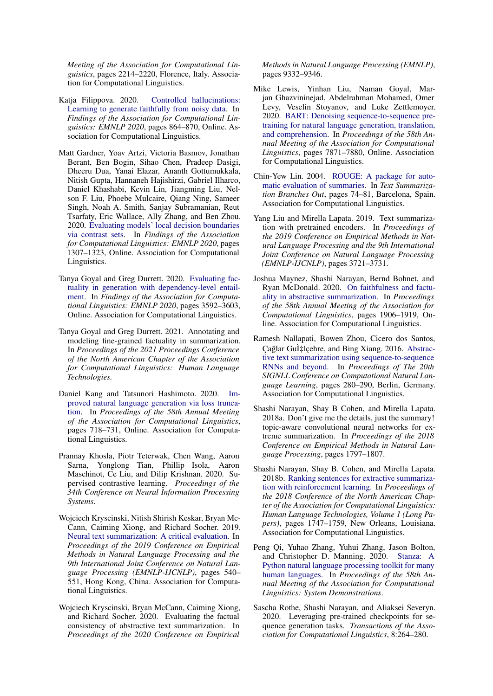*Meeting of the Association for Computational Linguistics*, pages 2214–2220, Florence, Italy. Association for Computational Linguistics.

- <span id="page-5-14"></span>Katja Filippova. 2020. [Controlled hallucinations:](https://www.aclweb.org/anthology/2020.findings-emnlp.76) [Learning to generate faithfully from noisy data.](https://www.aclweb.org/anthology/2020.findings-emnlp.76) In *Findings of the Association for Computational Linguistics: EMNLP 2020*, pages 864–870, Online. Association for Computational Linguistics.
- <span id="page-5-7"></span>Matt Gardner, Yoav Artzi, Victoria Basmov, Jonathan Berant, Ben Bogin, Sihao Chen, Pradeep Dasigi, Dheeru Dua, Yanai Elazar, Ananth Gottumukkala, Nitish Gupta, Hannaneh Hajishirzi, Gabriel Ilharco, Daniel Khashabi, Kevin Lin, Jiangming Liu, Nelson F. Liu, Phoebe Mulcaire, Qiang Ning, Sameer Singh, Noah A. Smith, Sanjay Subramanian, Reut Tsarfaty, Eric Wallace, Ally Zhang, and Ben Zhou. 2020. [Evaluating models' local decision boundaries](https://www.aclweb.org/anthology/2020.findings-emnlp.117) [via contrast sets.](https://www.aclweb.org/anthology/2020.findings-emnlp.117) In *Findings of the Association for Computational Linguistics: EMNLP 2020*, pages 1307–1323, Online. Association for Computational Linguistics.
- <span id="page-5-11"></span>Tanya Goyal and Greg Durrett. 2020. [Evaluating fac](https://www.aclweb.org/anthology/2020.findings-emnlp.322)[tuality in generation with dependency-level entail](https://www.aclweb.org/anthology/2020.findings-emnlp.322)[ment.](https://www.aclweb.org/anthology/2020.findings-emnlp.322) In *Findings of the Association for Computational Linguistics: EMNLP 2020*, pages 3592–3603, Online. Association for Computational Linguistics.
- <span id="page-5-16"></span>Tanya Goyal and Greg Durrett. 2021. Annotating and modeling fine-grained factuality in summarization. In *Proceedings of the 2021 Proceedings Conference of the North American Chapter of the Association for Computational Linguistics: Human Language Technologies.*
- <span id="page-5-13"></span>Daniel Kang and Tatsunori Hashimoto. 2020. [Im](https://doi.org/10.18653/v1/2020.acl-main.66)[proved natural language generation via loss trunca](https://doi.org/10.18653/v1/2020.acl-main.66)[tion.](https://doi.org/10.18653/v1/2020.acl-main.66) In *Proceedings of the 58th Annual Meeting of the Association for Computational Linguistics*, pages 718–731, Online. Association for Computational Linguistics.
- <span id="page-5-8"></span>Prannay Khosla, Piotr Teterwak, Chen Wang, Aaron Sarna, Yonglong Tian, Phillip Isola, Aaron Maschinot, Ce Liu, and Dilip Krishnan. 2020. Supervised contrastive learning. *Proceedings of the 34th Conference on Neural Information Processing Systems*.
- <span id="page-5-10"></span>Wojciech Kryscinski, Nitish Shirish Keskar, Bryan Mc-Cann, Caiming Xiong, and Richard Socher. 2019. [Neural text summarization: A critical evaluation.](https://doi.org/10.18653/v1/D19-1051) In *Proceedings of the 2019 Conference on Empirical Methods in Natural Language Processing and the 9th International Joint Conference on Natural Language Processing (EMNLP-IJCNLP)*, pages 540– 551, Hong Kong, China. Association for Computational Linguistics.
- <span id="page-5-15"></span>Wojciech Kryscinski, Bryan McCann, Caiming Xiong, and Richard Socher. 2020. Evaluating the factual consistency of abstractive text summarization. In *Proceedings of the 2020 Conference on Empirical*

*Methods in Natural Language Processing (EMNLP)*, pages 9332–9346.

- <span id="page-5-3"></span>Mike Lewis, Yinhan Liu, Naman Goyal, Marjan Ghazvininejad, Abdelrahman Mohamed, Omer Levy, Veselin Stoyanov, and Luke Zettlemoyer. 2020. [BART: Denoising sequence-to-sequence pre](https://doi.org/10.18653/v1/2020.acl-main.703)[training for natural language generation, translation,](https://doi.org/10.18653/v1/2020.acl-main.703) [and comprehension.](https://doi.org/10.18653/v1/2020.acl-main.703) In *Proceedings of the 58th Annual Meeting of the Association for Computational Linguistics*, pages 7871–7880, Online. Association for Computational Linguistics.
- <span id="page-5-2"></span>Chin-Yew Lin. 2004. [ROUGE: A package for auto](https://www.aclweb.org/anthology/W04-1013)[matic evaluation of summaries.](https://www.aclweb.org/anthology/W04-1013) In *Text Summarization Branches Out*, pages 74–81, Barcelona, Spain. Association for Computational Linguistics.
- <span id="page-5-1"></span>Yang Liu and Mirella Lapata. 2019. Text summarization with pretrained encoders. In *Proceedings of the 2019 Conference on Empirical Methods in Natural Language Processing and the 9th International Joint Conference on Natural Language Processing (EMNLP-IJCNLP)*, pages 3721–3731.
- <span id="page-5-4"></span>Joshua Maynez, Shashi Narayan, Bernd Bohnet, and Ryan McDonald. 2020. [On faithfulness and factu](https://doi.org/10.18653/v1/2020.acl-main.173)[ality in abstractive summarization.](https://doi.org/10.18653/v1/2020.acl-main.173) In *Proceedings of the 58th Annual Meeting of the Association for Computational Linguistics*, pages 1906–1919, Online. Association for Computational Linguistics.
- <span id="page-5-0"></span>Ramesh Nallapati, Bowen Zhou, Cicero dos Santos, Çağlar Gu̇lçehre, and Bing Xiang. 2016. [Abstrac](https://doi.org/10.18653/v1/K16-1028)[tive text summarization using sequence-to-sequence](https://doi.org/10.18653/v1/K16-1028) [RNNs and beyond.](https://doi.org/10.18653/v1/K16-1028) In *Proceedings of The 20th SIGNLL Conference on Computational Natural Language Learning*, pages 280–290, Berlin, Germany. Association for Computational Linguistics.
- <span id="page-5-5"></span>Shashi Narayan, Shay B Cohen, and Mirella Lapata. 2018a. Don't give me the details, just the summary! topic-aware convolutional neural networks for extreme summarization. In *Proceedings of the 2018 Conference on Empirical Methods in Natural Language Processing*, pages 1797–1807.
- <span id="page-5-12"></span>Shashi Narayan, Shay B. Cohen, and Mirella Lapata. 2018b. [Ranking sentences for extractive summariza](https://doi.org/10.18653/v1/N18-1158)[tion with reinforcement learning.](https://doi.org/10.18653/v1/N18-1158) In *Proceedings of the 2018 Conference of the North American Chapter of the Association for Computational Linguistics: Human Language Technologies, Volume 1 (Long Papers)*, pages 1747–1759, New Orleans, Louisiana. Association for Computational Linguistics.
- <span id="page-5-6"></span>Peng Qi, Yuhao Zhang, Yuhui Zhang, Jason Bolton, and Christopher D. Manning. 2020. [Stanza: A](https://nlp.stanford.edu/pubs/qi2020stanza.pdf) [Python natural language processing toolkit for many](https://nlp.stanford.edu/pubs/qi2020stanza.pdf) [human languages.](https://nlp.stanford.edu/pubs/qi2020stanza.pdf) In *Proceedings of the 58th Annual Meeting of the Association for Computational Linguistics: System Demonstrations*.
- <span id="page-5-9"></span>Sascha Rothe, Shashi Narayan, and Aliaksei Severyn. 2020. Leveraging pre-trained checkpoints for sequence generation tasks. *Transactions of the Association for Computational Linguistics*, 8:264–280.